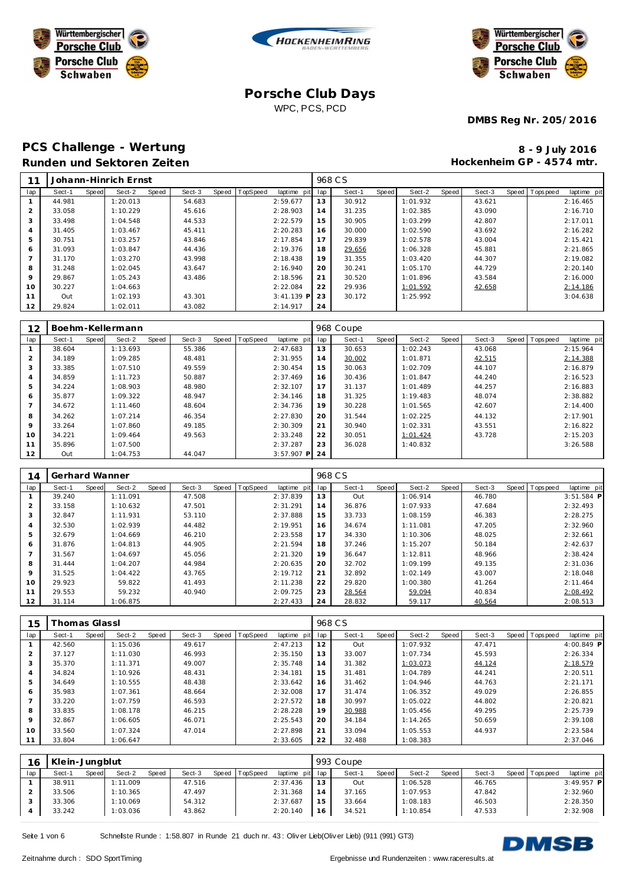





**DMBS Reg Nr. 205/2016**

# PCS Challenge - Wertung **8 - 9 July 2016 Runden und Sektoren Zeiten**

**Hockenheim GP - 4574 mtr.**

| 11             |        |       | Johann-Hinrich Ernst |       |        |       |          |              |     | 968 CS |       |          |       |        |                |             |
|----------------|--------|-------|----------------------|-------|--------|-------|----------|--------------|-----|--------|-------|----------|-------|--------|----------------|-------------|
| lap            | Sect-1 | Speed | Sect-2               | Speed | Sect-3 | Speed | TopSpeed | laptime pit  | lap | Sect-1 | Speed | Sect-2   | Speed | Sect-3 | Speed Topspeed | laptime pit |
|                | 44.981 |       | 1:20.013             |       | 54.683 |       |          | 2:59.677     | 13  | 30.912 |       | 1:01.932 |       | 43.621 |                | 2:16.465    |
| $\overline{2}$ | 33.058 |       | 1:10.229             |       | 45.616 |       |          | 2:28.903     | 14  | 31.235 |       | 1:02.385 |       | 43.090 |                | 2:16.710    |
| 3              | 33.498 |       | 1:04.548             |       | 44.533 |       |          | 2:22.579     | 15  | 30.905 |       | 1:03.299 |       | 42.807 |                | 2:17.011    |
| $\overline{4}$ | 31.405 |       | 1:03.467             |       | 45.411 |       |          | 2:20.283     | 16  | 30.000 |       | 1:02.590 |       | 43.692 |                | 2:16.282    |
| 5              | 30.751 |       | 1:03.257             |       | 43.846 |       |          | 2:17.854     | 17  | 29.839 |       | 1:02.578 |       | 43.004 |                | 2:15.421    |
| 6              | 31.093 |       | 1:03.847             |       | 44.436 |       |          | 2:19.376     | 18  | 29.656 |       | 1:06.328 |       | 45.881 |                | 2:21.865    |
|                | 31.170 |       | 1:03.270             |       | 43.998 |       |          | 2:18.438     | 19  | 31.355 |       | 1:03.420 |       | 44.307 |                | 2:19.082    |
| 8              | 31.248 |       | 1:02.045             |       | 43.647 |       |          | 2:16.940     | 20  | 30.241 |       | 1:05.170 |       | 44.729 |                | 2:20.140    |
| 9              | 29.867 |       | 1:05.243             |       | 43.486 |       |          | 2:18.596     | 21  | 30.520 |       | 1:01.896 |       | 43.584 |                | 2:16.000    |
| 10             | 30.227 |       | 1:04.663             |       |        |       |          | 2:22.084     | 22  | 29.936 |       | 1:01.592 |       | 42.658 |                | 2:14.186    |
| 11             | Out    |       | 1:02.193             |       | 43.301 |       |          | $3:41.139$ P | 23  | 30.172 |       | 1:25.992 |       |        |                | 3:04.638    |
| 12             | 29.824 |       | 1:02.011             |       | 43.082 |       |          | 2:14.917     | 24  |        |       |          |       |        |                |             |

| 12             |        |       | Boehm-Kellermann |       |        |       |          |              |     | 968 Coupe |       |          |       |        |       |           |             |
|----------------|--------|-------|------------------|-------|--------|-------|----------|--------------|-----|-----------|-------|----------|-------|--------|-------|-----------|-------------|
| lap            | Sect-1 | Speed | Sect-2           | Speed | Sect-3 | Speed | TopSpeed | laptime pit  | lap | Sect-1    | Speed | Sect-2   | Speed | Sect-3 | Speed | Tops peed | laptime pit |
|                | 38.604 |       | 1:13.693         |       | 55.386 |       |          | 2:47.683     | 13  | 30.653    |       | 1:02.243 |       | 43.068 |       |           | 2:15.964    |
| $\overline{2}$ | 34.189 |       | 1:09.285         |       | 48.481 |       |          | 2:31.955     | 14  | 30.002    |       | 1:01.871 |       | 42.515 |       |           | 2:14.388    |
| 3              | 33.385 |       | 1:07.510         |       | 49.559 |       |          | 2:30.454     | 15  | 30.063    |       | 1:02.709 |       | 44.107 |       |           | 2:16.879    |
| 4              | 34.859 |       | 1:11.723         |       | 50.887 |       |          | 2:37.469     | 16  | 30.436    |       | 1:01.847 |       | 44.240 |       |           | 2:16.523    |
| 5              | 34.224 |       | 1:08.903         |       | 48.980 |       |          | 2:32.107     | 17  | 31.137    |       | 1:01.489 |       | 44.257 |       |           | 2:16.883    |
| 6              | 35.877 |       | 1:09.322         |       | 48.947 |       |          | 2:34.146     | 18  | 31.325    |       | 1:19.483 |       | 48.074 |       |           | 2:38.882    |
|                | 34.672 |       | 1:11.460         |       | 48.604 |       |          | 2:34.736     | 19  | 30.228    |       | 1:01.565 |       | 42.607 |       |           | 2:14.400    |
| 8              | 34.262 |       | 1:07.214         |       | 46.354 |       |          | 2:27.830     | 20  | 31.544    |       | 1:02.225 |       | 44.132 |       |           | 2:17.901    |
| 9              | 33.264 |       | 1:07.860         |       | 49.185 |       |          | 2:30.309     | 21  | 30.940    |       | 1:02.331 |       | 43.551 |       |           | 2:16.822    |
| 10             | 34.221 |       | 1:09.464         |       | 49.563 |       |          | 2:33.248     | 22  | 30.051    |       | 1:01.424 |       | 43.728 |       |           | 2:15.203    |
| 11             | 35.896 |       | 1:07.500         |       |        |       |          | 2:37.287     | 23  | 36.028    |       | 1:40.832 |       |        |       |           | 3:26.588    |
| 12             | Out    |       | 1:04.753         |       | 44.047 |       |          | $3:57.907$ P | 24  |           |       |          |       |        |       |           |             |

| 14             | Gerhard Wanner |       |          |       |        |                |             |     | 968 C S |       |          |       |        |                |              |
|----------------|----------------|-------|----------|-------|--------|----------------|-------------|-----|---------|-------|----------|-------|--------|----------------|--------------|
| lap            | Sect-1         | Speed | Sect-2   | Speed | Sect-3 | Speed TopSpeed | laptime pit | lap | Sect-1  | Speed | Sect-2   | Speed | Sect-3 | Speed Topspeed | laptime pit  |
|                | 39.240         |       | 1:11.091 |       | 47.508 |                | 2:37.839    | 13  | Out     |       | 1:06.914 |       | 46.780 |                | $3:51.584$ P |
| $\overline{2}$ | 33.158         |       | 1:10.632 |       | 47.501 |                | 2:31.291    | 14  | 36.876  |       | 1:07.933 |       | 47.684 |                | 2:32.493     |
| 3              | 32.847         |       | 1:11.931 |       | 53.110 |                | 2:37.888    | 15  | 33.733  |       | 1:08.159 |       | 46.383 |                | 2:28.275     |
| $\overline{4}$ | 32.530         |       | 1:02.939 |       | 44.482 |                | 2:19.951    | 16  | 34.674  |       | 1:11.081 |       | 47.205 |                | 2:32.960     |
| 5              | 32.679         |       | 1:04.669 |       | 46.210 |                | 2:23.558    | 17  | 34.330  |       | 1:10.306 |       | 48.025 |                | 2:32.661     |
| 6              | 31.876         |       | 1:04.813 |       | 44.905 |                | 2:21.594    | 18  | 37.246  |       | 1:15.207 |       | 50.184 |                | 2:42.637     |
|                | 31.567         |       | 1:04.697 |       | 45.056 |                | 2:21.320    | 19  | 36.647  |       | 1:12.811 |       | 48.966 |                | 2:38.424     |
| 8              | 31.444         |       | 1:04.207 |       | 44.984 |                | 2:20.635    | 20  | 32.702  |       | 1:09.199 |       | 49.135 |                | 2:31.036     |
| 9              | 31.525         |       | 1:04.422 |       | 43.765 |                | 2:19.712    | 21  | 32.892  |       | 1:02.149 |       | 43.007 |                | 2:18.048     |
| 10             | 29.923         |       | 59.822   |       | 41.493 |                | 2:11.238    | 22  | 29.820  |       | 1:00.380 |       | 41.264 |                | 2:11.464     |
| 11             | 29.553         |       | 59.232   |       | 40.940 |                | 2:09.725    | 23  | 28.564  |       | 59.094   |       | 40.834 |                | 2:08.492     |
| 12             | 31.114         |       | 1:06.875 |       |        |                | 2:27.433    | 24  | 28.832  |       | 59.117   |       | 40.564 |                | 2:08.513     |

| 15  | homas Glassl |       |          |       |        |       |          |             |     | 968 CS |       |          |       |        |       |            |             |
|-----|--------------|-------|----------|-------|--------|-------|----------|-------------|-----|--------|-------|----------|-------|--------|-------|------------|-------------|
| lap | Sect-1       | Speed | Sect-2   | Speed | Sect-3 | Speed | TopSpeed | laptime pit | lap | Sect-1 | Speed | Sect-2   | Speed | Sect-3 | Speed | T ops peed | laptime pit |
|     | 42.560       |       | 1:15.036 |       | 49.617 |       |          | 2:47.213    | 12  | Out    |       | 1:07.932 |       | 47.471 |       |            | 4:00.849 P  |
|     | 37.127       |       | 1:11.030 |       | 46.993 |       |          | 2:35.150    | 13  | 33.007 |       | 1:07.734 |       | 45.593 |       |            | 2:26.334    |
| 3   | 35.370       |       | 1:11.371 |       | 49.007 |       |          | 2:35.748    | 14  | 31.382 |       | 1:03.073 |       | 44.124 |       |            | 2:18.579    |
|     | 34.824       |       | 1:10.926 |       | 48.431 |       |          | 2:34.181    | 15  | 31.481 |       | 1:04.789 |       | 44.241 |       |            | 2:20.511    |
| 5   | 34.649       |       | 1:10.555 |       | 48.438 |       |          | 2:33.642    | 16  | 31.462 |       | 1:04.946 |       | 44.763 |       |            | 2:21.171    |
| 6   | 35.983       |       | 1:07.361 |       | 48.664 |       |          | 2:32.008    | 17  | 31.474 |       | 1:06.352 |       | 49.029 |       |            | 2:26.855    |
|     | 33.220       |       | 1:07.759 |       | 46.593 |       |          | 2:27.572    | 18  | 30.997 |       | 1:05.022 |       | 44.802 |       |            | 2:20.821    |
| 8   | 33.835       |       | 1:08.178 |       | 46.215 |       |          | 2:28.228    | 19  | 30.988 |       | 1:05.456 |       | 49.295 |       |            | 2:25.739    |
| 9   | 32.867       |       | 1:06.605 |       | 46.071 |       |          | 2:25.543    | 20  | 34.184 |       | 1:14.265 |       | 50.659 |       |            | 2:39.108    |
| 10  | 33.560       |       | 1:07.324 |       | 47.014 |       |          | 2:27.898    | 21  | 33.094 |       | 1:05.553 |       | 44.937 |       |            | 2:23.584    |
| 11  | 33.804       |       | 1:06.647 |       |        |       |          | 2:33.605    | 22  | 32.488 |       | 1:08.383 |       |        |       |            | 2:37.046    |

| 16  | Klein-Jungblut |              |          |       |        |       |                 |                 |                | 993 Coupe |       |          |       |        |                 |              |
|-----|----------------|--------------|----------|-------|--------|-------|-----------------|-----------------|----------------|-----------|-------|----------|-------|--------|-----------------|--------------|
| lap | Sect-1         | <b>Speed</b> | Sect-2   | Speed | Sect-3 | Speed | <b>TopSpeed</b> | laptime pit lap |                | Sect-1    | Speed | Sect-2   | Speed | Sect-3 | Speed Tops peed | laptime pit  |
|     | 38.911         |              | 1:11.009 |       | 47.516 |       |                 | 2:37.436        | 12             | Out       |       | 1:06.528 |       | 46.765 |                 | $3:49.957$ P |
|     | 33.506         |              | 1:10.365 |       | 47.497 |       |                 | 2:31.368        | $\overline{A}$ | 37.165    |       | 1:07.953 |       | 47.842 |                 | 2:32.960     |
|     | 33.306         |              | 1:10.069 |       | 54.312 |       |                 | 2:37.687        | 15             | 33.664    |       | 1:08.183 |       | 46.503 |                 | 2:28.350     |
|     | 33.242         |              | 1:03.036 |       | 43.862 |       |                 | 2:20.140        | 16             | 34.521    |       | 1:10.854 |       | 47.533 |                 | 2:32.908     |

Seite 1 von 6 Schnellste Runde : 1:58.807 in Runde 21 duch nr. 43 : Oliver Lieb(Oliver Lieb) (911 (991) GT3)

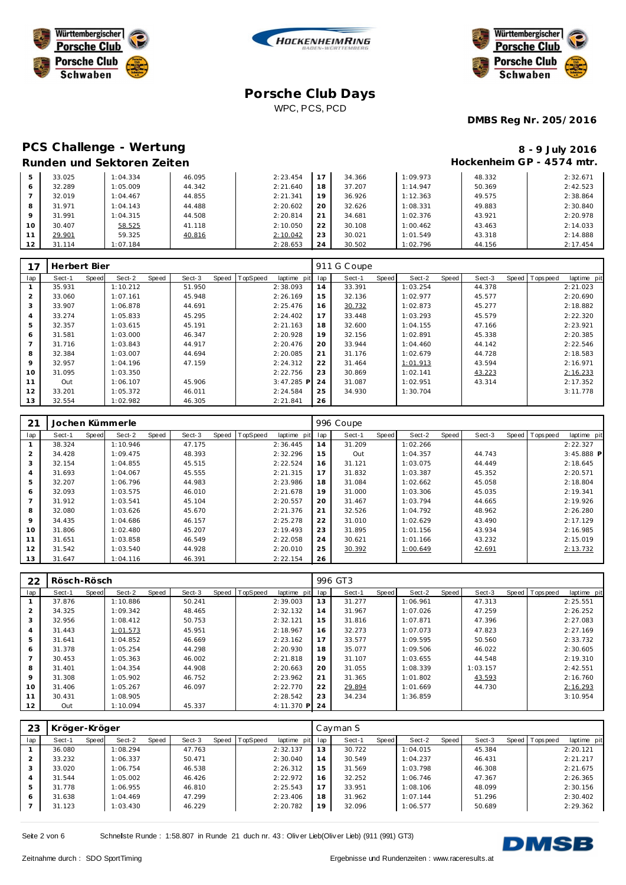





**DMBS Reg Nr. 205/2016**

#### **PCS Challenge - Wertung Runden und Sektoren Zeiten**

|                           |  | 8 - 9 July 2016 |  |
|---------------------------|--|-----------------|--|
| Hockenheim GP - 4574 mtr. |  |                 |  |

| 5  | 33.025 | 1:04.334 | 46.095 | 2:23.454  |    | 34.366 | 1:09.973 | 48.332 | 2:32.671 |
|----|--------|----------|--------|-----------|----|--------|----------|--------|----------|
| 6  | 32.289 | 1:05.009 | 44.342 | 2:21.640  | 18 | 37.207 | 1:14.947 | 50.369 | 2:42.523 |
|    | 32.019 | 1:04.467 | 44.855 | 2: 21.341 | 19 | 36.926 | 1:12.363 | 49.575 | 2:38.864 |
| 8  | 31.971 | 1:04.143 | 44.488 | 2:20.602  | 20 | 32.626 | 1:08.331 | 49.883 | 2:30.840 |
|    | 31.991 | 1:04.315 | 44.508 | 2:20.814  | 21 | 34.681 | 1:02.376 | 43.921 | 2:20.978 |
| 10 | 30.407 | 58.525   | 41.118 | 2:10.050  | 22 | 30.108 | 1:00.462 | 43.463 | 2:14.033 |
| 11 | 29.901 | 59.325   | 40.816 | 2:10.042  | 23 | 30.021 | 1:01.549 | 43.318 | 2:14.888 |
| 12 | 31.114 | 1:07.184 |        | 2:28.653  | 24 | 30.502 | 1:02.796 | 44.156 | 2:17.454 |

|                | Herbert Bier |              |          |       |        |                |              | 911 | G Coupe |       |          |       |        |                |             |
|----------------|--------------|--------------|----------|-------|--------|----------------|--------------|-----|---------|-------|----------|-------|--------|----------------|-------------|
| lap            | Sect-1       | <b>Speed</b> | Sect-2   | Speed | Sect-3 | Speed TopSpeed | laptime pit  | lap | Sect-1  | Speed | Sect-2   | Speed | Sect-3 | Speed Topspeed | laptime pit |
|                | 35.931       |              | 1:10.212 |       | 51.950 |                | 2:38.093     | 14  | 33.391  |       | 1:03.254 |       | 44.378 |                | 2:21.023    |
| $\overline{2}$ | 33.060       |              | 1:07.161 |       | 45.948 |                | 2:26.169     | 15  | 32.136  |       | 1:02.977 |       | 45.577 |                | 2:20.690    |
| 3              | 33.907       |              | 1:06.878 |       | 44.691 |                | 2:25.476     | 16  | 30.732  |       | 1:02.873 |       | 45.277 |                | 2:18.882    |
| 4              | 33.274       |              | 1:05.833 |       | 45.295 |                | 2:24.402     | 17  | 33.448  |       | 1:03.293 |       | 45.579 |                | 2:22.320    |
| 5              | 32.357       |              | 1:03.615 |       | 45.191 |                | 2:21.163     | 18  | 32.600  |       | 1:04.155 |       | 47.166 |                | 2:23.921    |
| 6              | 31.581       |              | 1:03.000 |       | 46.347 |                | 2:20.928     | 19  | 32.156  |       | 1:02.891 |       | 45.338 |                | 2:20.385    |
| $\overline{7}$ | 31.716       |              | 1:03.843 |       | 44.917 |                | 2:20.476     | 20  | 33.944  |       | 1:04.460 |       | 44.142 |                | 2:22.546    |
| 8              | 32.384       |              | 1:03.007 |       | 44.694 |                | 2:20.085     | 21  | 31.176  |       | 1:02.679 |       | 44.728 |                | 2:18.583    |
| 9              | 32.957       |              | 1:04.196 |       | 47.159 |                | 2:24.312     | 22  | 31.464  |       | 1:01.913 |       | 43.594 |                | 2:16.971    |
| 10             | 31.095       |              | 1:03.350 |       |        |                | 2:22.756     | 23  | 30.869  |       | 1:02.141 |       | 43.223 |                | 2:16.233    |
| 11             | Out          |              | 1:06.107 |       | 45.906 |                | $3:47.285$ P | 24  | 31.087  |       | 1:02.951 |       | 43.314 |                | 2:17.352    |
| 12             | 33.201       |              | 1:05.372 |       | 46.011 |                | 2:24.584     | 25  | 34.930  |       | 1:30.704 |       |        |                | 3:11.778    |
| 13             | 32.554       |              | 1:02.982 |       | 46.305 |                | 2:21.841     | 26  |         |       |          |       |        |                |             |

| 21  | Jochen Kümmerle |          |       |        |                |             |     | 996 Coupe |       |          |       |        |                  |              |
|-----|-----------------|----------|-------|--------|----------------|-------------|-----|-----------|-------|----------|-------|--------|------------------|--------------|
| lap | Sect-1<br>Speed | Sect-2   | Speed | Sect-3 | Speed TopSpeed | laptime pit | lap | Sect-1    | Speed | Sect-2   | Speed | Sect-3 | Speed   Topspeed | laptime pit  |
|     | 38.324          | 1:10.946 |       | 47.175 |                | 2:36.445    | 14  | 31.209    |       | 1:02.266 |       |        |                  | 2:22.327     |
| 2   | 34.428          | 1:09.475 |       | 48.393 |                | 2:32.296    | 15  | Out       |       | 1:04.357 |       | 44.743 |                  | $3:45.888$ P |
| 3   | 32.154          | 1:04.855 |       | 45.515 |                | 2:22.524    | 16  | 31.121    |       | 1:03.075 |       | 44.449 |                  | 2:18.645     |
| 4   | 31.693          | 1:04.067 |       | 45.555 |                | 2:21.315    | 17  | 31.832    |       | 1:03.387 |       | 45.352 |                  | 2:20.571     |
| 5   | 32.207          | 1:06.796 |       | 44.983 |                | 2:23.986    | 18  | 31.084    |       | 1:02.662 |       | 45.058 |                  | 2:18.804     |
| 6   | 32.093          | 1:03.575 |       | 46.010 |                | 2:21.678    | 19  | 31.000    |       | 1:03.306 |       | 45.035 |                  | 2:19.341     |
|     | 31.912          | 1:03.541 |       | 45.104 |                | 2:20.557    | 20  | 31.467    |       | 1:03.794 |       | 44.665 |                  | 2:19.926     |
| 8   | 32.080          | 1:03.626 |       | 45.670 |                | 2:21.376    | 21  | 32.526    |       | 1:04.792 |       | 48.962 |                  | 2:26.280     |
| 9   | 34.435          | 1:04.686 |       | 46.157 |                | 2:25.278    | 22  | 31.010    |       | 1:02.629 |       | 43.490 |                  | 2:17.129     |
| 10  | 31.806          | 1:02.480 |       | 45.207 |                | 2:19.493    | 23  | 31.895    |       | 1:01.156 |       | 43.934 |                  | 2:16.985     |
| 11  | 31.651          | 1:03.858 |       | 46.549 |                | 2:22.058    | 24  | 30.621    |       | 1:01.166 |       | 43.232 |                  | 2:15.019     |
| 12  | 31.542          | 1:03.540 |       | 44.928 |                | 2:20.010    | 25  | 30.392    |       | 1:00.649 |       | 42.691 |                  | 2:13.732     |
| 13  | 31.647          | 1:04.116 |       | 46.391 |                | 2:22.154    | 26  |           |       |          |       |        |                  |              |

| 22  | Rösch-Rösch |       |          |       |        |                |               |     | 996 GT3 |       |          |       |          |                |             |
|-----|-------------|-------|----------|-------|--------|----------------|---------------|-----|---------|-------|----------|-------|----------|----------------|-------------|
| lap | Sect-1      | Speed | Sect-2   | Speed | Sect-3 | Speed TopSpeed | laptime pit   | lap | Sect-1  | Speed | Sect-2   | Speed | Sect-3   | Speed Topspeed | laptime pit |
|     | 37.876      |       | 1:10.886 |       | 50.241 |                | 2:39.003      | 13  | 31.277  |       | 1:06.961 |       | 47.313   |                | 2:25.551    |
| 2   | 34.325      |       | 1:09.342 |       | 48.465 |                | 2:32.132      | 14  | 31.967  |       | 1:07.026 |       | 47.259   |                | 2:26.252    |
| 3   | 32.956      |       | 1:08.412 |       | 50.753 |                | 2:32.121      | 15  | 31.816  |       | 1:07.871 |       | 47.396   |                | 2:27.083    |
| 4   | 31.443      |       | 1:01.573 |       | 45.951 |                | 2:18.967      | 16  | 32.273  |       | 1:07.073 |       | 47.823   |                | 2:27.169    |
| 5   | 31.641      |       | 1:04.852 |       | 46.669 |                | 2:23.162      | 17  | 33.577  |       | 1:09.595 |       | 50.560   |                | 2:33.732    |
| 6   | 31.378      |       | 1:05.254 |       | 44.298 |                | 2:20.930      | 18  | 35.077  |       | 1:09.506 |       | 46.022   |                | 2:30.605    |
|     | 30.453      |       | 1:05.363 |       | 46.002 |                | 2:21.818      | 19  | 31.107  |       | 1:03.655 |       | 44.548   |                | 2:19.310    |
| 8   | 31.401      |       | 1:04.354 |       | 44.908 |                | 2:20.663      | 20  | 31.055  |       | 1:08.339 |       | 1:03.157 |                | 2:42.551    |
| 9   | 31.308      |       | 1:05.902 |       | 46.752 |                | 2:23.962      | 21  | 31.365  |       | 1:01.802 |       | 43.593   |                | 2:16.760    |
| 10  | 31.406      |       | 1:05.267 |       | 46.097 |                | 2:22.770      | 22  | 29.894  |       | 1:01.669 |       | 44.730   |                | 2:16.293    |
|     | 30.431      |       | 1:08.905 |       |        |                | 2:28.542      | 23  | 34.234  |       | 1:36.859 |       |          |                | 3:10.954    |
| 12  | Out         |       | 1:10.094 |       | 45.337 |                | 4:11.370 P 24 |     |         |       |          |       |          |                |             |

| 23  | Kröger-Kröger<br>TopSpeed<br>Sect-2<br>Sect-3<br>Sect-1<br>Speed |       |          |       |        |  |  |             |     | Cavman S |       |          |         |        |                 |             |
|-----|------------------------------------------------------------------|-------|----------|-------|--------|--|--|-------------|-----|----------|-------|----------|---------|--------|-----------------|-------------|
| lap |                                                                  | Speed |          | Speed |        |  |  | laptime pit | lap | Sect-1   | Speed | Sect-2   | Speed ! | Sect-3 | Speed Tops peed | laptime pit |
|     | 36.080                                                           |       | 1:08.294 |       | 47.763 |  |  | 2:32.137    | 13  | 30.722   |       | 1:04.015 |         | 45.384 |                 | 2:20.121    |
|     | 33.232                                                           |       | 1:06.337 |       | 50.471 |  |  | 2:30.040    | 14  | 30.549   |       | 1:04.237 |         | 46.431 |                 | 2:21.217    |
| 3   | 33.020                                                           |       | 1:06.754 |       | 46.538 |  |  | 2:26.312    | 15  | 31.569   |       | 1:03.798 |         | 46.308 |                 | 2:21.675    |
| 4   | 31.544                                                           |       | 1:05.002 |       | 46.426 |  |  | 2:22.972    | 16  | 32.252   |       | 1:06.746 |         | 47.367 |                 | 2:26.365    |
| 5   | 31.778                                                           |       | 1:06.955 |       | 46.810 |  |  | 2:25.543    | 17  | 33.951   |       | 1:08.106 |         | 48.099 |                 | 2:30.156    |
| 6   | 31.638                                                           |       | 1:04.469 |       | 47.299 |  |  | 2:23.406    | 18  | 31.962   |       | 1:07.144 |         | 51.296 |                 | 2:30.402    |
|     | 31.123                                                           |       | 1:03.430 |       | 46.229 |  |  | 2:20.782    | 19  | 32.096   |       | 1:06.577 |         | 50.689 |                 | 2:29.362    |

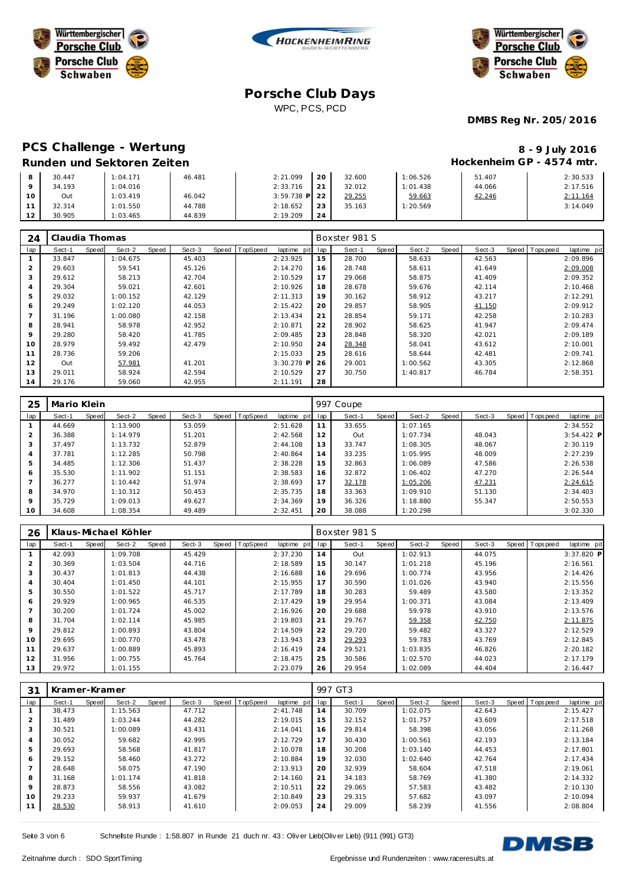





**DMBS Reg Nr. 205/2016**

## PCS Challenge - Wertung **8 - 9 July 2016 Runden und Sektoren Zeiten**

|                      |  |          |        | U / JUIY LUIU             |
|----------------------|--|----------|--------|---------------------------|
|                      |  |          |        | Hockenheim GP - 4574 mtr. |
| $2:21.099$ 20 32.600 |  | 1:06.526 | 51.407 | 2:30.533                  |
|                      |  |          |        |                           |

|    | 30.447 | : 04.171           | 46.481 | 2:21.099        | 20          | 32.600 | 1:06.526 | 51.407 | 2:30.533 |
|----|--------|--------------------|--------|-----------------|-------------|--------|----------|--------|----------|
|    | 34.193 | $^{\circ}$ :04.016 |        | 2:33.716        | $\bigcap$ 1 | 32.012 | 1:01.438 | 44.066 | 2:17.516 |
| 10 | Out    | 1:03.419           | 46.042 | $3:59.738$ P 22 |             | 29.255 | 59.663   | 42.246 | 2:11.164 |
|    | 32.314 | 1:01.550           | 44.788 | 2:18.652        | 23          | 35.163 | 1:20.569 |        | 3:14.049 |
| 12 | 30.905 | : 03.465           | 44.839 | 2:19.209        | 24          |        |          |        |          |

| 24             | Claudia Thomas |       |          |       |        |       |          |              |     | Boxster 981 S |       |          |       |        |                |             |
|----------------|----------------|-------|----------|-------|--------|-------|----------|--------------|-----|---------------|-------|----------|-------|--------|----------------|-------------|
| lap            | Sect-1         | Speed | Sect-2   | Speed | Sect-3 | Speed | TopSpeed | laptime pit  | lap | Sect-1        | Speed | Sect-2   | Speed | Sect-3 | Speed Topspeed | laptime pit |
|                | 33.847         |       | 1:04.675 |       | 45.403 |       |          | 2:23.925     | 15  | 28.700        |       | 58.633   |       | 42.563 |                | 2:09.896    |
| $\overline{2}$ | 29.603         |       | 59.541   |       | 45.126 |       |          | 2:14.270     | 16  | 28.748        |       | 58.611   |       | 41.649 |                | 2:09.008    |
| 3              | 29.612         |       | 58.213   |       | 42.704 |       |          | 2:10.529     | 17  | 29.068        |       | 58.875   |       | 41.409 |                | 2:09.352    |
| $\overline{4}$ | 29.304         |       | 59.021   |       | 42.601 |       |          | 2:10.926     | 18  | 28.678        |       | 59.676   |       | 42.114 |                | 2:10.468    |
| 5              | 29.032         |       | 1:00.152 |       | 42.129 |       |          | 2:11.313     | 19  | 30.162        |       | 58.912   |       | 43.217 |                | 2:12.291    |
| 6              | 29.249         |       | 1:02.120 |       | 44.053 |       |          | 2:15.422     | 20  | 29.857        |       | 58.905   |       | 41.150 |                | 2:09.912    |
|                | 31.196         |       | 1:00.080 |       | 42.158 |       |          | 2:13.434     | 21  | 28.854        |       | 59.171   |       | 42.258 |                | 2:10.283    |
| 8              | 28.941         |       | 58.978   |       | 42.952 |       |          | 2:10.871     | 22  | 28.902        |       | 58.625   |       | 41.947 |                | 2:09.474    |
| 9              | 29.280         |       | 58.420   |       | 41.785 |       |          | 2:09.485     | 23  | 28.848        |       | 58.320   |       | 42.021 |                | 2:09.189    |
| 10             | 28.979         |       | 59.492   |       | 42.479 |       |          | 2:10.950     | 24  | 28.348        |       | 58.041   |       | 43.612 |                | 2:10.001    |
| 11             | 28.736         |       | 59.206   |       |        |       |          | 2:15.033     | 25  | 28.616        |       | 58.644   |       | 42.481 |                | 2:09.741    |
| 12             | Out            |       | 57.981   |       | 41.201 |       |          | $3:30.278$ P | 26  | 29.001        |       | 1:00.562 |       | 43.305 |                | 2:12.868    |
| 13             | 29.011         |       | 58.924   |       | 42.594 |       |          | 2:10.529     | 27  | 30.750        |       | 1:40.817 |       | 46.784 |                | 2:58.351    |
| 14             | 29.176         |       | 59.060   |       | 42.955 |       |          | 2:11.191     | 28  |               |       |          |       |        |                |             |

| 25      | Mario Klein |       |          |       |        |       |          |             |     | 997 Coupe |       |          |       |        |                |              |
|---------|-------------|-------|----------|-------|--------|-------|----------|-------------|-----|-----------|-------|----------|-------|--------|----------------|--------------|
| lap     | Sect-1      | Speed | Sect-2   | Speed | Sect-3 | Speed | TopSpeed | laptime pit | lap | Sect-1    | Speed | Sect-2   | Speed | Sect-3 | Speed Topspeed | laptime pit  |
|         | 44.669      |       | 1:13.900 |       | 53.059 |       |          | 2:51.628    | 11  | 33.655    |       | 1:07.165 |       |        |                | 2:34.552     |
| 2       | 36.388      |       | 1:14.979 |       | 51.201 |       |          | 2:42.568    | 12  | Out       |       | 1:07.734 |       | 48.043 |                | $3:54.422$ P |
| 3       | 37.497      |       | 1:13.732 |       | 52.879 |       |          | 2:44.108    | 13  | 33.747    |       | 1:08.305 |       | 48.067 |                | 2:30.119     |
| 4       | 37.781      |       | 1:12.285 |       | 50.798 |       |          | 2:40.864    | 14  | 33.235    |       | 1:05.995 |       | 48.009 |                | 2:27.239     |
| 5       | 34.485      |       | 1:12.306 |       | 51.437 |       |          | 2:38.228    | 15  | 32.863    |       | 1:06.089 |       | 47.586 |                | 2:26.538     |
| 6       | 35.530      |       | 1:11.902 |       | 51.151 |       |          | 2:38.583    | 16  | 32.872    |       | 1:06.402 |       | 47.270 |                | 2:26.544     |
|         | 36.277      |       | 1:10.442 |       | 51.974 |       |          | 2:38.693    | 17  | 32.178    |       | 1:05.206 |       | 47.231 |                | 2:24.615     |
| 8       | 34.970      |       | 1:10.312 |       | 50.453 |       |          | 2:35.735    | 18  | 33.363    |       | 1:09.910 |       | 51.130 |                | 2:34.403     |
| $\circ$ | 35.729      |       | 1:09.013 |       | 49.627 |       |          | 2:34.369    | 19  | 36.326    |       | 1:18.880 |       | 55.347 |                | 2:50.553     |
| 10      | 34.608      |       | 1:08.354 |       | 49.489 |       |          | 2:32.451    | 20  | 38.088    |       | 1:20.298 |       |        |                | 3:02.330     |

| 26             | Klaus-Michael Köhler |       |          |       |        |                |             |     | Boxster 981 S |       |          |       |        |       |            |             |
|----------------|----------------------|-------|----------|-------|--------|----------------|-------------|-----|---------------|-------|----------|-------|--------|-------|------------|-------------|
| lap            | Sect-1               | Speed | Sect-2   | Speed | Sect-3 | Speed TopSpeed | laptime pit | lap | Sect-1        | Speed | Sect-2   | Speed | Sect-3 | Speed | T ops peed | laptime pit |
|                | 42.093               |       | 1:09.708 |       | 45.429 |                | 2:37.230    | 14  | Out           |       | 1:02.913 |       | 44.075 |       |            | 3:37.820 P  |
| $\overline{2}$ | 30.369               |       | 1:03.504 |       | 44.716 |                | 2:18.589    | 15  | 30.147        |       | 1:01.218 |       | 45.196 |       |            | 2:16.561    |
| 3              | 30.437               |       | 1:01.813 |       | 44.438 |                | 2:16.688    | 16  | 29.696        |       | 1:00.774 |       | 43.956 |       |            | 2:14.426    |
| 4              | 30.404               |       | 1:01.450 |       | 44.101 |                | 2:15.955    | 17  | 30.590        |       | 1:01.026 |       | 43.940 |       |            | 2:15.556    |
| 5              | 30.550               |       | 1:01.522 |       | 45.717 |                | 2:17.789    | 18  | 30.283        |       | 59.489   |       | 43.580 |       |            | 2:13.352    |
| 6              | 29.929               |       | 1:00.965 |       | 46.535 |                | 2:17.429    | 19  | 29.954        |       | 1:00.371 |       | 43.084 |       |            | 2:13.409    |
| $\overline{7}$ | 30.200               |       | 1:01.724 |       | 45.002 |                | 2:16.926    | 20  | 29.688        |       | 59.978   |       | 43.910 |       |            | 2:13.576    |
| 8              | 31.704               |       | 1:02.114 |       | 45.985 |                | 2:19.803    | 21  | 29.767        |       | 59.358   |       | 42.750 |       |            | 2:11.875    |
| 9              | 29.812               |       | 1:00.893 |       | 43.804 |                | 2:14.509    | 22  | 29.720        |       | 59.482   |       | 43.327 |       |            | 2:12.529    |
| 10             | 29.695               |       | 1:00.770 |       | 43.478 |                | 2:13.943    | 23  | 29.293        |       | 59.783   |       | 43.769 |       |            | 2:12.845    |
| 11             | 29.637               |       | 1:00.889 |       | 45.893 |                | 2:16.419    | 24  | 29.521        |       | 1:03.835 |       | 46.826 |       |            | 2:20.182    |
| 12             | 31.956               |       | 1:00.755 |       | 45.764 |                | 2:18.475    | 25  | 30.586        |       | 1:02.570 |       | 44.023 |       |            | 2:17.179    |
| 13             | 29.972               |       | 1:01.155 |       |        |                | 2:23.079    | 26  | 29.954        |       | 1:02.089 |       | 44.404 |       |            | 2:16.447    |

| 31  | Kramer-Kramer |       |          |       |        |                |             |     | 997 GT3 |       |          |       |        |                |             |
|-----|---------------|-------|----------|-------|--------|----------------|-------------|-----|---------|-------|----------|-------|--------|----------------|-------------|
| lap | Sect-1        | Speed | Sect-2   | Speed | Sect-3 | Speed TopSpeed | laptime pit | lap | Sect-1  | Speed | Sect-2   | Speed | Sect-3 | Speed Topspeed | laptime pit |
|     | 38.473        |       | 1:15.563 |       | 47.712 |                | 2:41.748    | 14  | 30.709  |       | 1:02.075 |       | 42.643 |                | 2:15.427    |
| 2   | 31.489        |       | 1:03.244 |       | 44.282 |                | 2:19.015    | 15  | 32.152  |       | 1:01.757 |       | 43.609 |                | 2:17.518    |
| 3   | 30.521        |       | 1:00.089 |       | 43.431 |                | 2:14.041    | 16  | 29.814  |       | 58.398   |       | 43.056 |                | 2:11.268    |
| 4   | 30.052        |       | 59.682   |       | 42.995 |                | 2:12.729    | 17  | 30.430  |       | 1:00.561 |       | 42.193 |                | 2:13.184    |
| 5   | 29.693        |       | 58.568   |       | 41.817 |                | 2:10.078    | 18  | 30.208  |       | 1:03.140 |       | 44.453 |                | 2:17.801    |
| 6   | 29.152        |       | 58.460   |       | 43.272 |                | 2:10.884    | 19  | 32.030  |       | 1:02.640 |       | 42.764 |                | 2:17.434    |
|     | 28.648        |       | 58.075   |       | 47.190 |                | 2:13.913    | 20  | 32.939  |       | 58.604   |       | 47.518 |                | 2:19.061    |
| 8   | 31.168        |       | 1:01.174 |       | 41.818 |                | 2:14.160    | 21  | 34.183  |       | 58.769   |       | 41.380 |                | 2:14.332    |
| 9   | 28.873        |       | 58.556   |       | 43.082 |                | 2:10.511    | 22  | 29.065  |       | 57.583   |       | 43.482 |                | 2:10.130    |
| 10  | 29.233        |       | 59.937   |       | 41.679 |                | 2:10.849    | 23  | 29.315  |       | 57.682   |       | 43.097 |                | 2:10.094    |
|     | 28.530        |       | 58.913   |       | 41.610 |                | 2:09.053    | 24  | 29.009  |       | 58.239   |       | 41.556 |                | 2:08.804    |

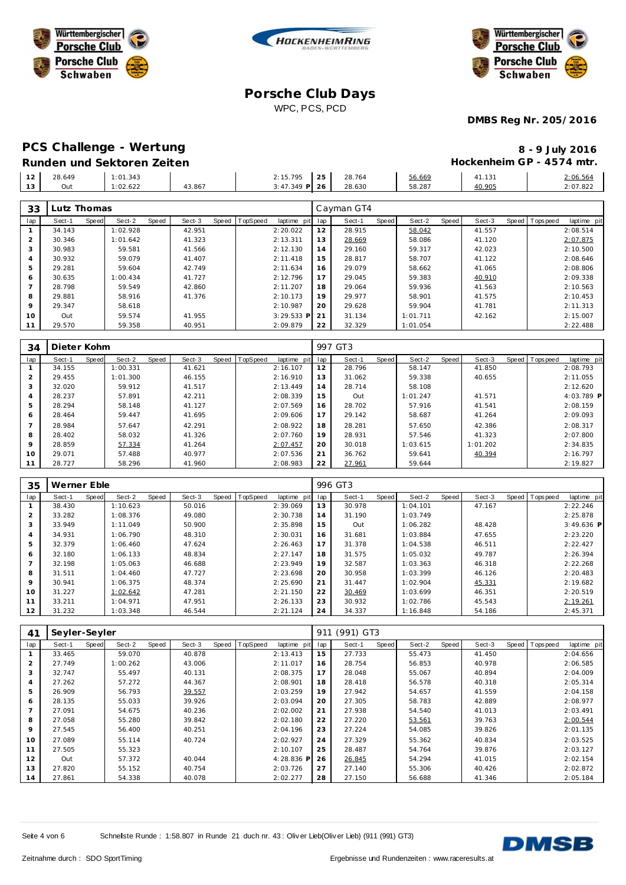





**DMBS Reg Nr. 205/2016**

| PCS Challenge - Wertung    | 8 - 9 July 2016           |
|----------------------------|---------------------------|
| Runden und Sektoren Zeiten | Hockenheim GP - 4574 mtr. |

| $\sim$<br>∼ | 28.649 | 1:01.343 |        | 2:15.795        | つら<br>. <u>.</u> | 28.764 | 56.669 | 41.131 | 2:06.564 |
|-------------|--------|----------|--------|-----------------|------------------|--------|--------|--------|----------|
| $\sim$<br>. | Out    | : 02.622 | 43.867 | 349 P 26<br>. ச | ∼                | 28.630 | 58.287 | 40.905 | 2:07.822 |
|             |        |          |        |                 |                  |        |        |        |          |

| 33             | Lutz Thomas |       |          |       |        |       |                 |             |     | Cayman GT4 |       |          |       |        |       |            |             |
|----------------|-------------|-------|----------|-------|--------|-------|-----------------|-------------|-----|------------|-------|----------|-------|--------|-------|------------|-------------|
| lap            | Sect-1      | Speed | Sect-2   | Speed | Sect-3 | Speed | <b>TopSpeed</b> | laptime pit | lap | Sect-1     | Speed | Sect-2   | Speed | Sect-3 | Speed | T ops peed | laptime pit |
|                | 34.143      |       | 1:02.928 |       | 42.951 |       |                 | 2:20.022    | 12  | 28.915     |       | 58.042   |       | 41.557 |       |            | 2:08.514    |
| 2              | 30.346      |       | 1:01.642 |       | 41.323 |       |                 | 2:13.311    | 13  | 28.669     |       | 58.086   |       | 41.120 |       |            | 2:07.875    |
| 3              | 30.983      |       | 59.581   |       | 41.566 |       |                 | 2:12.130    | 14  | 29.160     |       | 59.317   |       | 42.023 |       |            | 2:10.500    |
| $\overline{A}$ | 30.932      |       | 59.079   |       | 41.407 |       |                 | 2:11.418    | 15  | 28.817     |       | 58.707   |       | 41.122 |       |            | 2:08.646    |
| 5              | 29.281      |       | 59.604   |       | 42.749 |       |                 | 2:11.634    | 16  | 29.079     |       | 58.662   |       | 41.065 |       |            | 2:08.806    |
| 6              | 30.635      |       | 1:00.434 |       | 41.727 |       |                 | 2:12.796    | 17  | 29.045     |       | 59.383   |       | 40.910 |       |            | 2:09.338    |
|                | 28.798      |       | 59.549   |       | 42.860 |       |                 | 2:11.207    | 18  | 29.064     |       | 59.936   |       | 41.563 |       |            | 2:10.563    |
| 8              | 29.881      |       | 58.916   |       | 41.376 |       |                 | 2:10.173    | 19  | 29.977     |       | 58.901   |       | 41.575 |       |            | 2:10.453    |
| $\mathsf Q$    | 29.347      |       | 58.618   |       |        |       |                 | 2:10.987    | 20  | 29.628     |       | 59.904   |       | 41.781 |       |            | 2:11.313    |
| 10             | Out         |       | 59.574   |       | 41.955 |       |                 | 3:29.533 P  | 21  | 31.134     |       | 1:01.711 |       | 42.162 |       |            | 2:15.007    |
| 11             | 29.570      |       | 59.358   |       | 40.951 |       |                 | 2:09.879    | 22  | 32.329     |       | 1:01.054 |       |        |       |            | 2:22.488    |

| 34      | Dieter Kohm |       |          |       |        |       |          |             |     | 997 GT3 |       |          |       |          |                |             |
|---------|-------------|-------|----------|-------|--------|-------|----------|-------------|-----|---------|-------|----------|-------|----------|----------------|-------------|
| lap     | Sect-1      | Speed | Sect-2   | Speed | Sect-3 | Speed | TopSpeed | laptime pit | lap | Sect-1  | Speed | Sect-2   | Speed | Sect-3   | Speed Topspeed | laptime pit |
|         | 34.155      |       | 1:00.331 |       | 41.621 |       |          | 2:16.107    | 12  | 28.796  |       | 58.147   |       | 41.850   |                | 2:08.793    |
|         | 29.455      |       | 1:01.300 |       | 46.155 |       |          | 2:16.910    | 13  | 31.062  |       | 59.338   |       | 40.655   |                | 2:11.055    |
| 3       | 32.020      |       | 59.912   |       | 41.517 |       |          | 2:13.449    | 14  | 28.714  |       | 58.108   |       |          |                | 2:12.620    |
|         | 28.237      |       | 57.891   |       | 42.211 |       |          | 2:08.339    | 15  | Out     |       | 1:01.247 |       | 41.571   |                | 4:03.789 P  |
| 5       | 28.294      |       | 58.148   |       | 41.127 |       |          | 2:07.569    | 16  | 28.702  |       | 57.916   |       | 41.541   |                | 2:08.159    |
| 6       | 28.464      |       | 59.447   |       | 41.695 |       |          | 2:09.606    | 17  | 29.142  |       | 58.687   |       | 41.264   |                | 2:09.093    |
|         | 28.984      |       | 57.647   |       | 42.291 |       |          | 2:08.922    | 18  | 28.281  |       | 57.650   |       | 42.386   |                | 2:08.317    |
| 8       | 28.402      |       | 58.032   |       | 41.326 |       |          | 2:07.760    | 19  | 28.931  |       | 57.546   |       | 41.323   |                | 2:07.800    |
| $\circ$ | 28.859      |       | 57.334   |       | 41.264 |       |          | 2:07.457    | 20  | 30.018  |       | 1:03.615 |       | 1:01.202 |                | 2:34.835    |
| 10      | 29.071      |       | 57.488   |       | 40.977 |       |          | 2:07.536    | 21  | 36.762  |       | 59.641   |       | 40.394   |                | 2:16.797    |
| 11      | 28.727      |       | 58.296   |       | 41.960 |       |          | 2:08.983    | 22  | 27.961  |       | 59.644   |       |          |                | 2:19.827    |

| 35             | Werner Eble |       |          |       |        |                |             |     | 996 GT3 |       |          |       |        |                |              |
|----------------|-------------|-------|----------|-------|--------|----------------|-------------|-----|---------|-------|----------|-------|--------|----------------|--------------|
| lap            | Sect-1      | Speed | Sect-2   | Speed | Sect-3 | Speed TopSpeed | laptime pit | lap | Sect-1  | Speed | Sect-2   | Speed | Sect-3 | Speed Topspeed | laptime pit  |
|                | 38.430      |       | 1:10.623 |       | 50.016 |                | 2:39.069    | 13  | 30.978  |       | 1:04.101 |       | 47.167 |                | 2:22.246     |
| $\overline{2}$ | 33.282      |       | 1:08.376 |       | 49.080 |                | 2:30.738    | 14  | 31.190  |       | 1:03.749 |       |        |                | 2:25.878     |
| 3              | 33.949      |       | 1:11.049 |       | 50.900 |                | 2:35.898    | 15  | Out     |       | 1:06.282 |       | 48.428 |                | $3:49.636$ P |
| 4              | 34.931      |       | 1:06.790 |       | 48.310 |                | 2:30.031    | 16  | 31.681  |       | 1:03.884 |       | 47.655 |                | 2:23.220     |
| 5              | 32.379      |       | 1:06.460 |       | 47.624 |                | 2:26.463    | 17  | 31.378  |       | 1:04.538 |       | 46.511 |                | 2:22.427     |
| 6              | 32.180      |       | 1:06.133 |       | 48.834 |                | 2:27.147    | 18  | 31.575  |       | 1:05.032 |       | 49.787 |                | 2:26.394     |
|                | 32.198      |       | 1:05.063 |       | 46.688 |                | 2:23.949    | 19  | 32.587  |       | 1:03.363 |       | 46.318 |                | 2:22.268     |
| 8              | 31.511      |       | 1:04.460 |       | 47.727 |                | 2:23.698    | 20  | 30.958  |       | 1:03.399 |       | 46.126 |                | 2:20.483     |
| 9              | 30.941      |       | 1:06.375 |       | 48.374 |                | 2:25.690    | 21  | 31.447  |       | 1:02.904 |       | 45.331 |                | 2:19.682     |
| 10             | 31.227      |       | 1:02.642 |       | 47.281 |                | 2:21.150    | 22  | 30.469  |       | 1:03.699 |       | 46.351 |                | 2:20.519     |
| 11             | 33.211      |       | 1:04.971 |       | 47.951 |                | 2:26.133    | 23  | 30.932  |       | 1:02.786 |       | 45.543 |                | 2:19.261     |
| 12             | 31.232      |       | 1:03.348 |       | 46.544 |                | 2:21.124    | 24  | 34.337  |       | 1:16.848 |       | 54.186 |                | 2:45.371     |

| 41  | Seyler-Seyler |       |          |       |        |       |          |             |     | 911 (991) GT3 |       |        |       |        |       |          |             |
|-----|---------------|-------|----------|-------|--------|-------|----------|-------------|-----|---------------|-------|--------|-------|--------|-------|----------|-------------|
| lap | Sect-1        | Speed | Sect-2   | Speed | Sect-3 | Speed | TopSpeed | laptime pit | lap | Sect-1        | Speed | Sect-2 | Speed | Sect-3 | Speed | Topspeed | laptime pit |
|     | 33.465        |       | 59.070   |       | 40.878 |       |          | 2:13.413    | 15  | 27.733        |       | 55.473 |       | 41.450 |       |          | 2:04.656    |
| 2   | 27.749        |       | 1:00.262 |       | 43.006 |       |          | 2:11.017    | 16  | 28.754        |       | 56.853 |       | 40.978 |       |          | 2:06.585    |
| 3   | 32.747        |       | 55.497   |       | 40.131 |       |          | 2:08.375    | 17  | 28.048        |       | 55.067 |       | 40.894 |       |          | 2:04.009    |
| 4   | 27.262        |       | 57.272   |       | 44.367 |       |          | 2:08.901    | 18  | 28.418        |       | 56.578 |       | 40.318 |       |          | 2:05.314    |
| 5   | 26.909        |       | 56.793   |       | 39.557 |       |          | 2:03.259    | 19  | 27.942        |       | 54.657 |       | 41.559 |       |          | 2:04.158    |
| 6   | 28.135        |       | 55.033   |       | 39.926 |       |          | 2:03.094    | 20  | 27.305        |       | 58.783 |       | 42.889 |       |          | 2:08.977    |
|     | 27.091        |       | 54.675   |       | 40.236 |       |          | 2:02.002    | 21  | 27.938        |       | 54.540 |       | 41.013 |       |          | 2:03.491    |
| 8   | 27.058        |       | 55.280   |       | 39.842 |       |          | 2:02.180    | 22  | 27.220        |       | 53.561 |       | 39.763 |       |          | 2:00.544    |
| 9   | 27.545        |       | 56.400   |       | 40.251 |       |          | 2:04.196    | 23  | 27.224        |       | 54.085 |       | 39.826 |       |          | 2:01.135    |
| 10  | 27.089        |       | 55.114   |       | 40.724 |       |          | 2:02.927    | 24  | 27.329        |       | 55.362 |       | 40.834 |       |          | 2:03.525    |
| 11  | 27.505        |       | 55.323   |       |        |       |          | 2:10.107    | 25  | 28.487        |       | 54.764 |       | 39.876 |       |          | 2:03.127    |
| 12  | Out           |       | 57.372   |       | 40.044 |       |          | 4:28.836 P  | 26  | 26.845        |       | 54.294 |       | 41.015 |       |          | 2:02.154    |
| 13  | 27.820        |       | 55.152   |       | 40.754 |       |          | 2:03.726    | 27  | 27.140        |       | 55.306 |       | 40.426 |       |          | 2:02.872    |
| 14  | 27.861        |       | 54.338   |       | 40.078 |       |          | 2:02.277    | 28  | 27.150        |       | 56.688 |       | 41.346 |       |          | 2:05.184    |

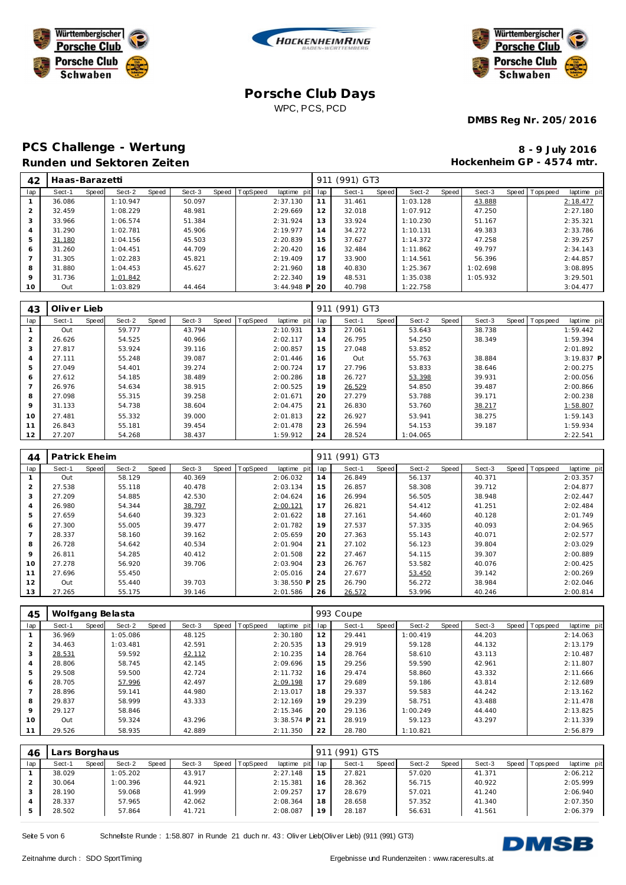





**DMBS Reg Nr. 205/2016**

## PCS Challenge - Wertung **8 - 9 July 2016 Runden und Sektoren Zeiten**

**Hockenheim GP - 4574 mtr.**

| 42      | Haas-Barazetti |       |          |       |        |       |          |              | -91 | (991) GT3 |       |          |       |          |                |             |
|---------|----------------|-------|----------|-------|--------|-------|----------|--------------|-----|-----------|-------|----------|-------|----------|----------------|-------------|
| lap     | Sect-1         | Speed | Sect-2   | Speed | Sect-3 | Speed | TopSpeed | laptime pit  | lap | Sect-1    | Speed | Sect-2   | Speed | Sect-3   | Speed Topspeed | laptime pit |
|         | 36.086         |       | 1:10.947 |       | 50.097 |       |          | 2:37.130     | 11  | 31.461    |       | 1:03.128 |       | 43.888   |                | 2:18.477    |
|         | 32.459         |       | 1:08.229 |       | 48.981 |       |          | 2:29.669     | 12  | 32.018    |       | 1:07.912 |       | 47.250   |                | 2:27.180    |
|         | 33.966         |       | 1:06.574 |       | 51.384 |       |          | 2:31.924     | 13  | 33.924    |       | 1:10.230 |       | 51.167   |                | 2:35.321    |
|         | 31.290         |       | 1:02.781 |       | 45.906 |       |          | 2:19.977     | 14  | 34.272    |       | 1:10.131 |       | 49.383   |                | 2:33.786    |
| 5       | 31.180         |       | 1:04.156 |       | 45.503 |       |          | 2:20.839     | 15  | 37.627    |       | 1:14.372 |       | 47.258   |                | 2:39.257    |
| 6       | 31.260         |       | 1:04.451 |       | 44.709 |       |          | 2:20.420     | 16  | 32.484    |       | 1:11.862 |       | 49.797   |                | 2:34.143    |
|         | 31.305         |       | 1:02.283 |       | 45.821 |       |          | 2:19.409     | 17  | 33.900    |       | 1:14.561 |       | 56.396   |                | 2:44.857    |
| 8       | 31.880         |       | 1:04.453 |       | 45.627 |       |          | 2:21.960     | 18  | 40.830    |       | 1:25.367 |       | 1:02.698 |                | 3:08.895    |
| $\circ$ | 31.736         |       | 1:01.842 |       |        |       |          | 2:22.340     | 19  | 48.531    |       | 1:35.038 |       | 1:05.932 |                | 3:29.501    |
| 10      | Out            |       | 1:03.829 |       | 44.464 |       |          | $3:44.948$ P | 20  | 40.798    |       | 1:22.758 |       |          |                | 3:04.477    |

| 43  | Oliver Lieb |       |        |       |        |       |          |             | (991) GT3<br>911 |        |       |          |       |        |  |                  |              |  |
|-----|-------------|-------|--------|-------|--------|-------|----------|-------------|------------------|--------|-------|----------|-------|--------|--|------------------|--------------|--|
| lap | Sect-1      | Speed | Sect-2 | Speed | Sect-3 | Speed | TopSpeed | laptime pit | lap              | Sect-1 | Speed | Sect-2   | Speed | Sect-3 |  | Speed   Topspeed | laptime pit  |  |
|     | Out         |       | 59.777 |       | 43.794 |       |          | 2:10.931    | 13               | 27.061 |       | 53.643   |       | 38.738 |  |                  | 1:59.442     |  |
|     | 26.626      |       | 54.525 |       | 40.966 |       |          | 2:02.117    | 14               | 26.795 |       | 54.250   |       | 38.349 |  |                  | 1:59.394     |  |
| 3   | 27.817      |       | 53.924 |       | 39.116 |       |          | 2:00.857    | 15               | 27.048 |       | 53.852   |       |        |  |                  | 2:01.892     |  |
|     | 27.111      |       | 55.248 |       | 39.087 |       |          | 2:01.446    | 16               | Out    |       | 55.763   |       | 38.884 |  |                  | $3:19.837$ P |  |
| 5   | 27.049      |       | 54.401 |       | 39.274 |       |          | 2:00.724    | 17               | 27.796 |       | 53.833   |       | 38.646 |  |                  | 2:00.275     |  |
| 6   | 27.612      |       | 54.185 |       | 38.489 |       |          | 2:00.286    | 18               | 26.727 |       | 53.398   |       | 39.931 |  |                  | 2:00.056     |  |
|     | 26.976      |       | 54.634 |       | 38.915 |       |          | 2:00.525    | 19               | 26.529 |       | 54.850   |       | 39.487 |  |                  | 2:00.866     |  |
| 8   | 27.098      |       | 55.315 |       | 39.258 |       |          | 2:01.671    | 20               | 27.279 |       | 53.788   |       | 39.171 |  |                  | 2:00.238     |  |
| 9   | 31.133      |       | 54.738 |       | 38.604 |       |          | 2:04.475    | 21               | 26.830 |       | 53.760   |       | 38.217 |  |                  | 1:58.807     |  |
| 10  | 27.481      |       | 55.332 |       | 39.000 |       |          | 2:01.813    | 22               | 26.927 |       | 53.941   |       | 38.275 |  |                  | 1:59.143     |  |
| 11  | 26.843      |       | 55.181 |       | 39.454 |       |          | 2:01.478    | 23               | 26.594 |       | 54.153   |       | 39.187 |  |                  | 1:59.934     |  |
| 12  | 27.207      |       | 54.268 |       | 38.437 |       |          | 1:59.912    | 24               | 28.524 |       | 1:04.065 |       |        |  |                  | 2:22.541     |  |

| 44             | Patrick Eheim |       |        |       |        |  |                |              |     | (991) GT3<br>911 |       |        |       |        |  |                |             |  |  |  |
|----------------|---------------|-------|--------|-------|--------|--|----------------|--------------|-----|------------------|-------|--------|-------|--------|--|----------------|-------------|--|--|--|
| lap            | Sect-1        | Speed | Sect-2 | Speed | Sect-3 |  | Speed TopSpeed | laptime pit  | lap | Sect-1           | Speed | Sect-2 | Speed | Sect-3 |  | Speed Topspeed | laptime pit |  |  |  |
|                | Out           |       | 58.129 |       | 40.369 |  |                | 2:06.032     | 14  | 26.849           |       | 56.137 |       | 40.371 |  |                | 2:03.357    |  |  |  |
| $\overline{2}$ | 27.538        |       | 55.118 |       | 40.478 |  |                | 2:03.134     | 15  | 26.857           |       | 58.308 |       | 39.712 |  |                | 2:04.877    |  |  |  |
| 3              | 27.209        |       | 54.885 |       | 42.530 |  |                | 2:04.624     | 16  | 26.994           |       | 56.505 |       | 38.948 |  |                | 2:02.447    |  |  |  |
| 4              | 26.980        |       | 54.344 |       | 38.797 |  |                | 2:00.121     | 17  | 26.821           |       | 54.412 |       | 41.251 |  |                | 2:02.484    |  |  |  |
| 5              | 27.659        |       | 54.640 |       | 39.323 |  |                | 2:01.622     | 18  | 27.161           |       | 54.460 |       | 40.128 |  |                | 2:01.749    |  |  |  |
| 6              | 27.300        |       | 55.005 |       | 39.477 |  |                | 2:01.782     | 19  | 27.537           |       | 57.335 |       | 40.093 |  |                | 2:04.965    |  |  |  |
|                | 28.337        |       | 58.160 |       | 39.162 |  |                | 2:05.659     | 20  | 27.363           |       | 55.143 |       | 40.071 |  |                | 2:02.577    |  |  |  |
| 8              | 26.728        |       | 54.642 |       | 40.534 |  |                | 2:01.904     | 21  | 27.102           |       | 56.123 |       | 39.804 |  |                | 2:03.029    |  |  |  |
| 9              | 26.811        |       | 54.285 |       | 40.412 |  |                | 2:01.508     | 22  | 27.467           |       | 54.115 |       | 39.307 |  |                | 2:00.889    |  |  |  |
| 10             | 27.278        |       | 56.920 |       | 39.706 |  |                | 2:03.904     | 23  | 26.767           |       | 53.582 |       | 40.076 |  |                | 2:00.425    |  |  |  |
| 11             | 27.696        |       | 55.450 |       |        |  |                | 2:05.016     | 24  | 27.677           |       | 53.450 |       | 39.142 |  |                | 2:00.269    |  |  |  |
| 12             | Out           |       | 55.440 |       | 39.703 |  |                | $3:38.550$ P | 25  | 26.790           |       | 56.272 |       | 38.984 |  |                | 2:02.046    |  |  |  |
| 13             | 27.265        |       | 55.175 |       | 39.146 |  |                | 2:01.586     | 26  | 26.572           |       | 53.996 |       | 40.246 |  |                | 2:00.814    |  |  |  |

| 45             | Wolfgang Belasta |                 |        |                                  | 993 Coupe |        |       |          |       |        |  |                |             |  |
|----------------|------------------|-----------------|--------|----------------------------------|-----------|--------|-------|----------|-------|--------|--|----------------|-------------|--|
| lap            | Sect-1<br>Speed  | Speed<br>Sect-2 | Sect-3 | Speed TopSpeed<br>laptime<br>pit | lap       | Sect-1 | Speed | Sect-2   | Speed | Sect-3 |  | Speed Topspeed | laptime pit |  |
|                | 36.969           | 1:05.086        | 48.125 | 2:30.180                         | 12        | 29.441 |       | 1:00.419 |       | 44.203 |  |                | 2:14.063    |  |
| $\overline{2}$ | 34.463           | 1:03.481        | 42.591 | 2:20.535                         | 13        | 29.919 |       | 59.128   |       | 44.132 |  |                | 2:13.179    |  |
| 3              | 28.531           | 59.592          | 42.112 | 2:10.235                         | 14        | 28.764 |       | 58.610   |       | 43.113 |  |                | 2:10.487    |  |
| $\overline{4}$ | 28.806           | 58.745          | 42.145 | 2:09.696                         | 15        | 29.256 |       | 59.590   |       | 42.961 |  |                | 2:11.807    |  |
| 5              | 29.508           | 59.500          | 42.724 | 2:11.732                         | 16        | 29.474 |       | 58.860   |       | 43.332 |  |                | 2:11.666    |  |
| 6              | 28.705           | 57.996          | 42.497 | 2:09.198                         | 17        | 29.689 |       | 59.186   |       | 43.814 |  |                | 2:12.689    |  |
|                | 28.896           | 59.141          | 44.980 | 2:13.017                         | 18        | 29.337 |       | 59.583   |       | 44.242 |  |                | 2:13.162    |  |
| 8              | 29.837           | 58.999          | 43.333 | 2:12.169                         | 19        | 29.239 |       | 58.751   |       | 43.488 |  |                | 2:11.478    |  |
| 9              | 29.127           | 58.846          |        | 2:15.346                         | 20        | 29.136 |       | 1:00.249 |       | 44.440 |  |                | 2:13.825    |  |
| 10             | Out              | 59.324          | 43.296 | $3:38.574$ P                     | 21        | 28.919 |       | 59.123   |       | 43.297 |  |                | 2:11.339    |  |
| 11             | 29.526           | 58.935          | 42.889 | 2:11.350                         | 22        | 28.780 |       | 1:10.821 |       |        |  |                | 2:56.879    |  |

| 46  | ∟ars Borghaus |              |          |              |        |       |          |          |         | (991) GTS<br>-91 |              |        |       |        |         |            |             |  |  |  |
|-----|---------------|--------------|----------|--------------|--------|-------|----------|----------|---------|------------------|--------------|--------|-------|--------|---------|------------|-------------|--|--|--|
| lap | Sect-1        | <b>Speed</b> | Sect-2   | <b>Speed</b> | Sect-3 | Speed | TopSpeed | laptime  | pit lap | Sect-1           | <b>Speed</b> | Sect-2 | Speed | Sect-3 | Speed I | T ops peed | laptime pit |  |  |  |
|     | 38.029        |              | 1:05.202 |              | 43.917 |       |          | 2:27.148 | 15      | 27.821           |              | 57.020 |       | 41.371 |         |            | 2:06.212    |  |  |  |
|     | 30.064        |              | 1:00.396 |              | 44.921 |       |          | 2:15.381 | 16      | 28.362           |              | 56.715 |       | 40.922 |         |            | 2:05.999    |  |  |  |
|     | 28.190        |              | 59.068   |              | 41.999 |       |          | 2:09.257 | 17      | 28.679           |              | 57.021 |       | 41.240 |         |            | 2:06.940    |  |  |  |
|     | 28.337        |              | 57.965   |              | 42.062 |       |          | 2:08.364 | 18      | 28.658           |              | 57.352 |       | 41.340 |         |            | 2:07.350    |  |  |  |
|     | 28.502        |              | 57.864   |              | 41.721 |       |          | 2:08.087 | 19      | 28.187           |              | 56.631 |       | 41.561 |         |            | 2:06.379    |  |  |  |

Seite 5 von 6 Schnelste Runde : 1:58.807 in Runde 21 duch nr. 43 : Oliver Lieb(Oliver Lieb) (911 (991) GT3)